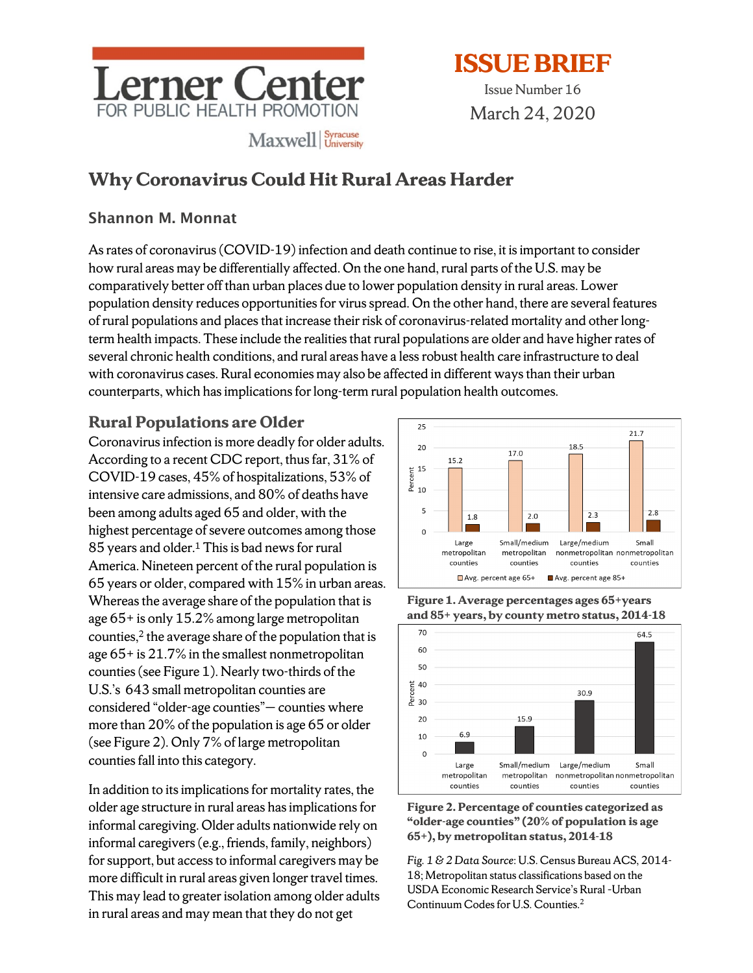

Issue Number 16 March 24, 2020

# **Why Coronavirus Could Hit Rural Areas Harder**

#### Shannon M. Monnat

As rates of coronavirus (COVID-19) infection and death continue to rise, it is important to consider how rural areas may be differentially affected. On the one hand, rural parts of the U.S. may be comparatively better off than urban places due to lower population density in rural areas. Lower population density reduces opportunities for virus spread. On the other hand, there are several features of rural populations and places that increase their risk of coronavirus-related mortality and other longterm health impacts. These include the realities that rural populations are older and have higher rates of several chronic health conditions, and rural areas have a less robust health care infrastructure to deal with coronavirus cases. Rural economies may also be affected in different ways than their urban counterparts, which hasimplications for long-term rural population health outcomes.

### **Rural Populations are Older**

Coronavirus infection is more deadly for older adults. According to a recent CDC report, thus far, 31% of COVID-19 cases, 45% of hospitalizations, 53% of intensive care admissions, and 80% of deaths have been among adults aged 65 and older, with the highest percentage of severe outcomes among those 85 years and older.<sup>1</sup> This is bad news for rural America. Nineteen percent of the rural population is 65 years or older, compared with 15% in urban areas. Whereas the average share of the population that is age 65+ is only 15.2% among large metropolitan counties, $2$  the average share of the population that is age 65+ is 21.7% in the smallest nonmetropolitan counties (see Figure 1). Nearly two-thirds of the U.S.'s 643 small metropolitan counties are considered "older-age counties"— counties where more than 20% of the population is age 65 or older (see Figure 2). Only 7% of large metropolitan counties fall into this category.

In addition to its implications for mortality rates, the older age structure in rural areas has implications for informal caregiving. Older adults nationwide rely on informal caregivers (e.g., friends, family, neighbors) for support, but access to informal caregivers may be more difficult in rural areas given longer travel times. This may lead to greater isolation among older adults in rural areas and may mean that they do not get



**Figure 1. Average percentages ages 65+years and 85+ years, by county metro status, 2014-18**





*Fig. 1 & 2 Data Source*: U.S. Census Bureau ACS, 2014- 18; Metropolitan status classifications based on the USDA Economic Research Service's Rural –Urban Continuum Codes for U.S. Counties.2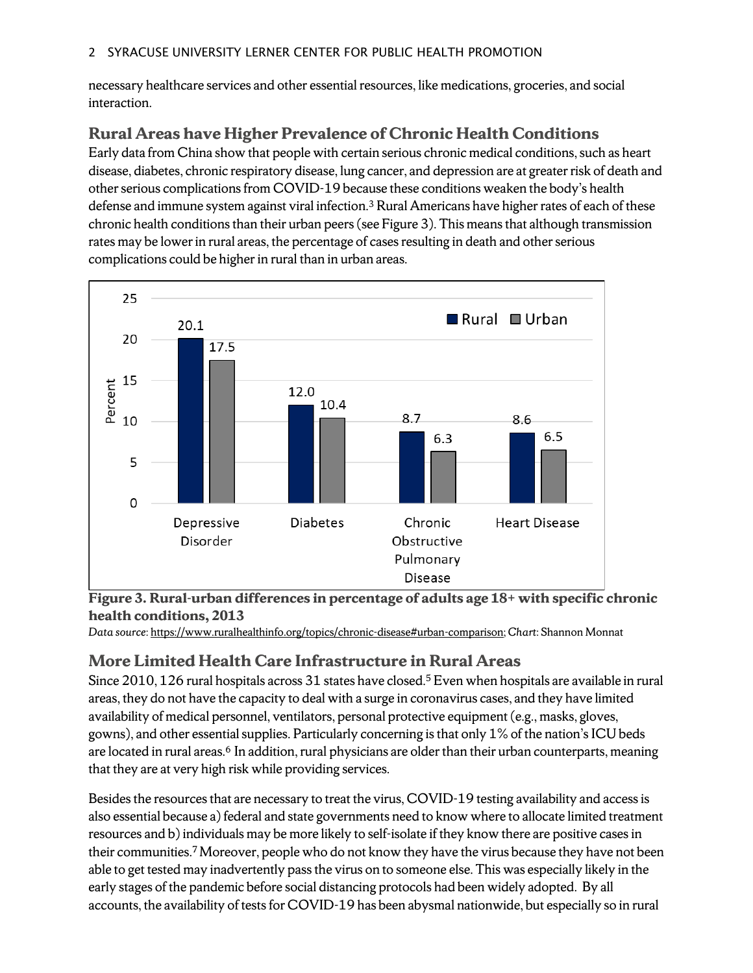necessary healthcare services and other essential resources, like medications, groceries, and social interaction.

## **Rural Areas have Higher Prevalence of Chronic Health Conditions**

Early data from China show that people with certain serious chronic medical conditions, such as heart disease, diabetes, chronic respiratory disease, lung cancer, and depression are at greater risk of death and other serious complications from COVID-19 because these conditions weaken the body's health defense and immune system against viral infection.3 Rural Americans have higher rates of each of these chronic health conditions than their urban peers(see Figure 3). This means that although transmission rates may be lower in rural areas, the percentage of cases resulting in death and other serious complications could be higher in rural than in urban areas.





*Data source*: [https://www.ruralhealthinfo.org/topics/chronic-disease#urban-comparison;](https://www.ruralhealthinfo.org/topics/chronic-disease#urban-comparison) *Chart*: Shannon Monnat

### **More Limited Health Care Infrastructure in Rural Areas**

Since 2010, 126 rural hospitals across 31 states have closed.<sup>5</sup> Even when hospitals are available in rural areas, they do not have the capacity to deal with a surge in coronavirus cases, and they have limited availability of medical personnel, ventilators, personal protective equipment(e.g., masks, gloves, gowns), and other essential supplies. Particularly concerning is that only 1% of the nation's ICU beds are located in rural areas.<sup>6</sup> In addition, rural physicians are older than their urban counterparts, meaning that they are at very high risk while providing services.

Besides the resources that are necessary to treat the virus, COVID-19 testing availability and access is also essential because a) federal and state governments need to know where to allocate limited treatment resources and b) individuals may be more likely to self-isolate if they know there are positive cases in their communities. 7Moreover, people who do not know they have the virus because they have not been able to get tested may inadvertently pass the virus on to someone else. This was especially likely in the early stages of the pandemic before social distancing protocols had been widely adopted. By all accounts, the availability of tests for COVID-19 has been abysmal nationwide, but especially so in rural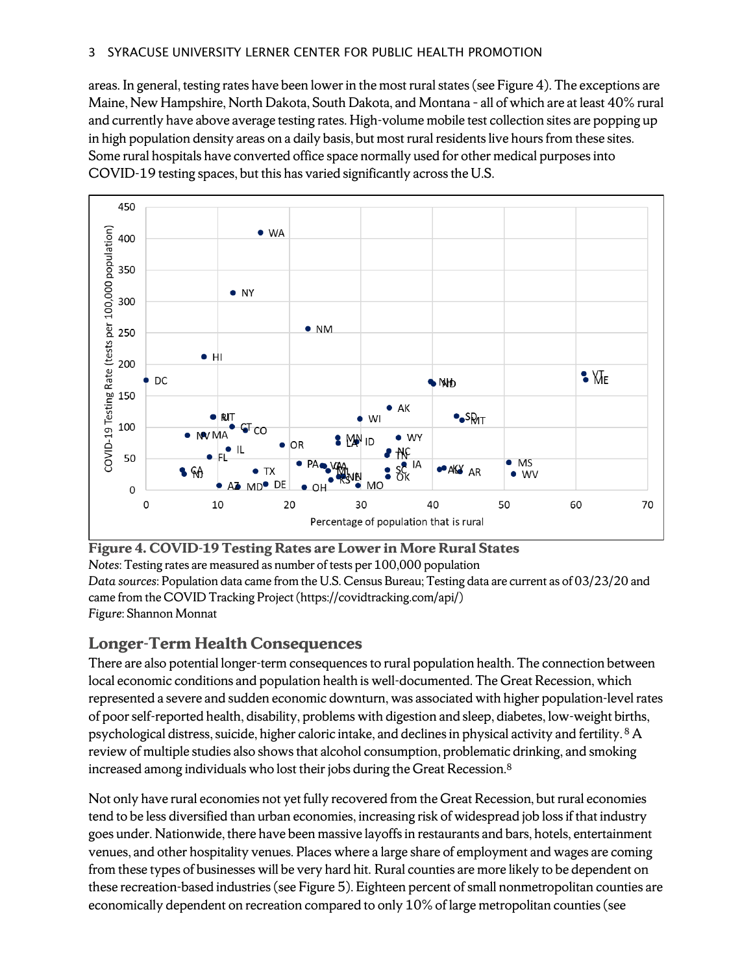areas. In general, testing rates have been lower in the most ruralstates (see Figure 4). The exceptions are Maine, New Hampshire, North Dakota, South Dakota, and Montana – all of which are at least 40% rural and currently have above average testing rates. High-volume mobile test collection sites are popping up in high population density areas on a daily basis, but most rural residents live hours from these sites. Some rural hospitals have converted office space normally used for other medical purposes into COVID-19 testing spaces, but this has varied significantly across the U.S.



## **Figure 4. COVID-19 Testing Rates are Lower in More Rural States**

*Notes*: Testing rates are measured as number of tests per 100,000 population *Data sources*: Population data came from the U.S. Census Bureau; Testing data are current as of 03/23/20 and came from the COVID Tracking Project [\(https://covidtracking.com/api/\)](https://covidtracking.com/api/) *Figure*: Shannon Monnat

### **Longer-Term Health Consequences**

There are also potential longer-term consequences to rural population health. The connection between local economic conditions and population health is well-documented. The Great Recession, which represented a severe and sudden economic downturn, was associated with higher population-level rates of poor self-reported health, disability, problems with digestion and sleep, diabetes, low-weight births, psychological distress, suicide, higher caloric intake, and declines in physical activity and fertility. <sup>8</sup> A review of multiple studies also showsthat alcohol consumption, problematic drinking, and smoking increased among individuals who lost their jobs during the Great Recession.8

Not only have rural economies not yet fully recovered from the Great Recession, but rural economies tend to be less diversified than urban economies, increasing risk of widespread job loss if that industry goes under. Nationwide, there have been massive layoffs in restaurants and bars, hotels, entertainment venues, and other hospitality venues. Places where a large share of employment and wages are coming from these types of businesses will be very hard hit. Rural counties are more likely to be dependent on these recreation-based industries(see Figure 5). Eighteen percent of small nonmetropolitan counties are economically dependent on recreation compared to only 10% of large metropolitan counties (see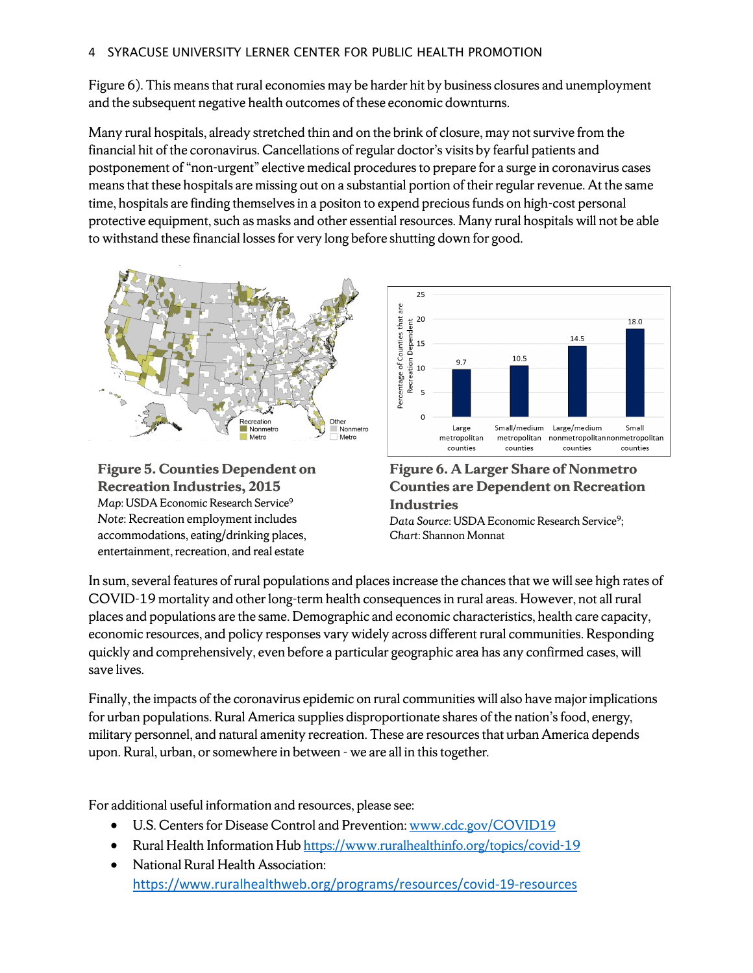Figure 6). This means that rural economies may be harder hit by business closures and unemployment and the subsequent negative health outcomes of these economic downturns.

Many rural hospitals, already stretched thin and on the brink of closure, may not survive from the financial hit of the coronavirus. Cancellations of regular doctor's visits by fearful patients and postponement of "non-urgent" elective medical procedures to prepare for a surge in coronavirus cases means that these hospitals are missing out on a substantial portion of their regular revenue. At the same time, hospitals are finding themselves in a positon to expend precious funds on high-cost personal protective equipment, such as masks and other essential resources. Many rural hospitals will not be able to withstand these financial losses for very long before shutting down for good.







**Figure 6. A Larger Share of Nonmetro Counties are Dependent on Recreation Industries**

Data Source: USDA Economic Research Service<sup>9</sup>; *Chart*: Shannon Monnat

In sum, several features of rural populations and places increase the chances that we will see high rates of COVID-19 mortality and other long-term health consequences in rural areas. However, not all rural places and populations are the same. Demographic and economic characteristics, health care capacity, economic resources, and policy responses vary widely across different rural communities. Responding quickly and comprehensively, even before a particular geographic area has any confirmed cases, will save lives.

Finally, the impacts of the coronavirus epidemic on rural communities will also have major implications for urban populations. Rural America supplies disproportionate shares of the nation's food, energy, military personnel, and natural amenity recreation. These are resources that urban America depends upon. Rural, urban, or somewhere in between - we are all in this together.

For additional useful information and resources, please see:

- U.S. Centers for Disease Control and Prevention: [www.cdc.gov/COVID19](http://www.cdc.gov/COVID19)
- Rural Health Information Hub<https://www.ruralhealthinfo.org/topics/covid-19>
- National Rural Health Association: <https://www.ruralhealthweb.org/programs/resources/covid-19-resources>